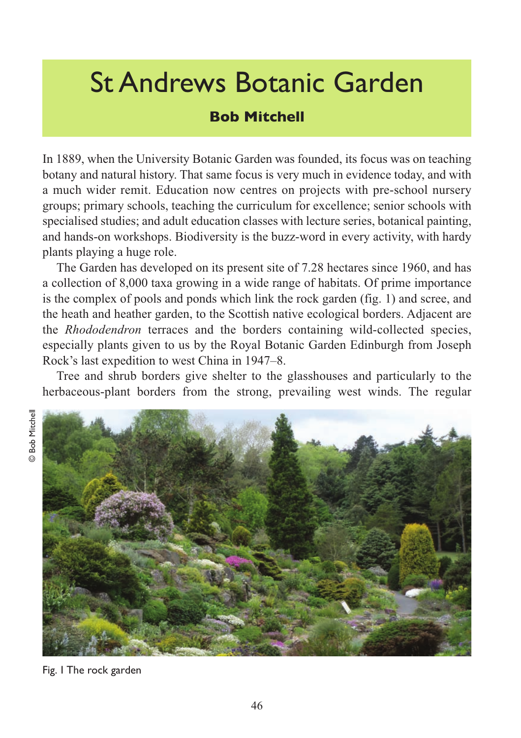## St Andrews Botanic Garden

## **Bob Mitchell**

In 1889, when the University Botanic Garden was founded, its focus was on teaching botany and natural history. That same focus is very much in evidence today, and with a much wider remit. Education now centres on projects with pre-school nursery groups; primary schools, teaching the curriculum for excellence; senior schools with specialised studies; and adult education classes with lecture series, botanical painting, and hands-on workshops. Biodiversity is the buzz-word in every activity, with hardy plants playing a huge role.

The Garden has developed on its present site of 7.28 hectares since 1960, and has a collection of 8,000 taxa growing in a wide range of habitats. Of prime importance is the complex of pools and ponds which link the rock garden (fig. 1) and scree, and the heath and heather garden, to the Scottish native ecological borders. Adjacent are the *Rhododendron* terraces and the borders containing wild-collected species, especially plants given to us by the Royal Botanic Garden Edinburgh from Joseph Rock's last expedition to west China in 1947–8.

Tree and shrub borders give shelter to the glasshouses and particularly to the herbaceous-plant borders from the strong, prevailing west winds. The regular





Fig. 1 The rock garden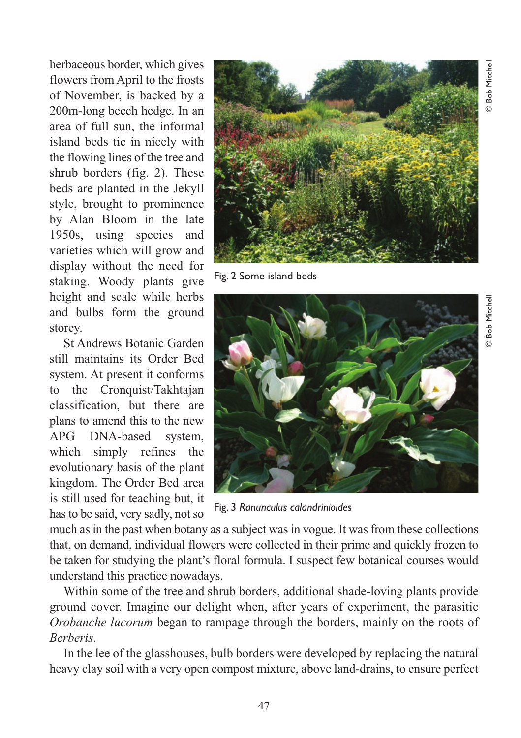**Bob Mitchell** © Bob Mitchell

herbaceous border, which gives flowers from April to the frosts of November, is backed by a 200m-long beech hedge. In an area of full sun, the informal island beds tie in nicely with the flowing lines of the tree and shrub borders (fig. 2). These beds are planted in the Jekyll style, brought to prominence by Alan Bloom in the late 1950s, using species and varieties which will grow and display without the need for staking. Woody plants give height and scale while herbs and bulbs form the ground storey.

St Andrews Botanic Garden still maintains its Order Bed system. At present it conforms to the Cronquist/Takhtajan classification, but there are plans to amend this to the new APG DNA-based system, which simply refines the evolutionary basis of the plant kingdom. The Order Bed area is still used for teaching but, it has to be said, very sadly, not so



Fig. 2 Some island beds



Fig. 3 *Ranunculus calandrinioides*

much as in the past when botany as a subject was in vogue. It was from these collections that, on demand, individual flowers were collected in their prime and quickly frozen to be taken for studying the plant's floral formula. I suspect few botanical courses would understand this practice nowadays.

Within some of the tree and shrub borders, additional shade-loving plants provide ground cover. Imagine our delight when, after years of experiment, the parasitic *Orobanche lucorum* began to rampage through the borders, mainly on the roots of *Berberis*.

In the lee of the glasshouses, bulb borders were developed by replacing the natural heavy clay soil with a very open compost mixture, above land-drains, to ensure perfect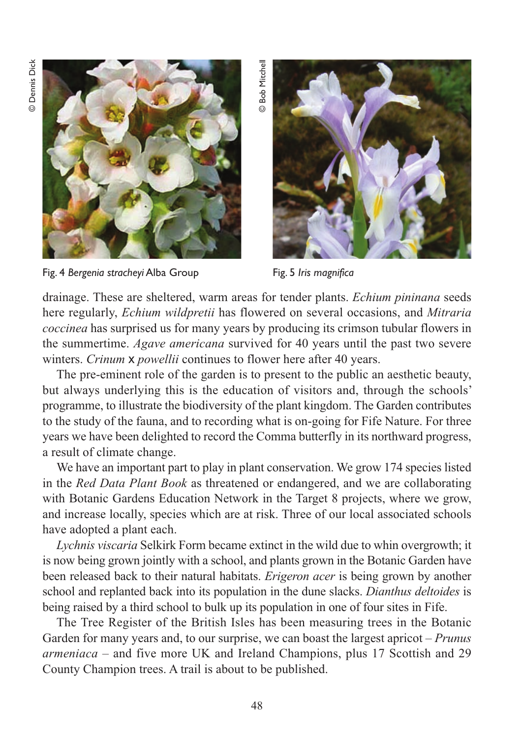**Dennis Dick** © Dennis Dick



Fig. 4 *Bergenia stracheyi* Alba Group Fig. 5 *Iris magnifica* 

**Bob Mitchell** © Bob Mitchell



drainage. These are sheltered, warm areas for tender plants. *Echium pininana* seeds here regularly, *Echium wildpretii* has flowered on several occasions, and *Mitraria coccinea* has surprised us for many years by producing its crimson tubular flowers in the summertime. *Agave americana* survived for 40 years until the past two severe winters. *Crinum* x *powellii* continues to flower here after 40 years.

The pre-eminent role of the garden is to present to the public an aesthetic beauty, but always underlying this is the education of visitors and, through the schools' programme, to illustrate the biodiversity of the plant kingdom. The Garden contributes to the study of the fauna, and to recording what is on-going for Fife Nature. For three years we have been delighted to record the Comma butterfly in its northward progress, a result of climate change.

We have an important part to play in plant conservation. We grow 174 species listed in the *Red Data Plant Book* as threatened or endangered, and we are collaborating with Botanic Gardens Education Network in the Target 8 projects, where we grow, and increase locally, species which are at risk. Three of our local associated schools have adopted a plant each.

*Lychnis viscaria* Selkirk Form became extinct in the wild due to whin overgrowth; it is now being grown jointly with a school, and plants grown in the Botanic Garden have been released back to their natural habitats. *Erigeron acer* is being grown by another school and replanted back into its population in the dune slacks. *Dianthus deltoides* is being raised by a third school to bulk up its population in one of four sites in Fife.

The Tree Register of the British Isles has been measuring trees in the Botanic Garden for many years and, to our surprise, we can boast the largest apricot – *Prunus armeniaca –* and five more UK and Ireland Champions, plus 17 Scottish and 29 County Champion trees. A trail is about to be published.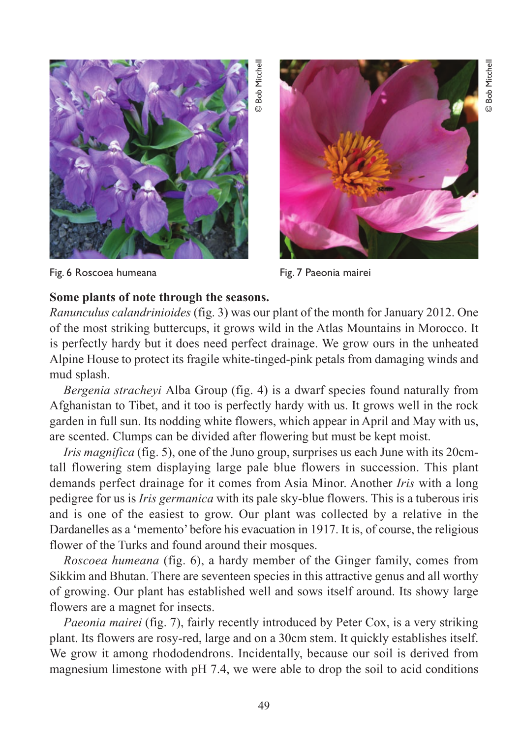

Fig. 6 Roscoea humeana Fig. 7 Paeonia mairei



**Some plants of note through the seasons.**  *Ranunculus calandrinioides* (fig. 3) was our plant of the month for January 2012. One of the most striking buttercups, it grows wild in the Atlas Mountains in Morocco. It is perfectly hardy but it does need perfect drainage. We grow ours in the unheated Alpine House to protect its fragile white-tinged-pink petals from damaging winds and mud splash.

© Bob Mitchell

*Bergenia stracheyi* Alba Group (fig. 4) is a dwarf species found naturally from Afghanistan to Tibet, and it too is perfectly hardy with us. It grows well in the rock garden in full sun. Its nodding white flowers, which appear in April and May with us, are scented. Clumps can be divided after flowering but must be kept moist.

*Iris magnifica* (fig. 5), one of the Juno group, surprises us each June with its 20cmtall flowering stem displaying large pale blue flowers in succession. This plant demands perfect drainage for it comes from Asia Minor. Another *Iris* with a long pedigree for us is *Iris germanica* with its pale sky-blue flowers. This is a tuberous iris and is one of the easiest to grow. Our plant was collected by a relative in the Dardanelles as a 'memento' before his evacuation in 1917. It is, of course, the religious flower of the Turks and found around their mosques.

*Roscoea humeana* (fig. 6), a hardy member of the Ginger family, comes from Sikkim and Bhutan. There are seventeen species in this attractive genus and all worthy of growing. Our plant has established well and sows itself around. Its showy large flowers are a magnet for insects.

*Paeonia mairei* (fig. 7), fairly recently introduced by Peter Cox, is a very striking plant. Its flowers are rosy-red, large and on a 30cm stem. It quickly establishes itself. We grow it among rhododendrons. Incidentally, because our soil is derived from magnesium limestone with pH 7.4, we were able to drop the soil to acid conditions